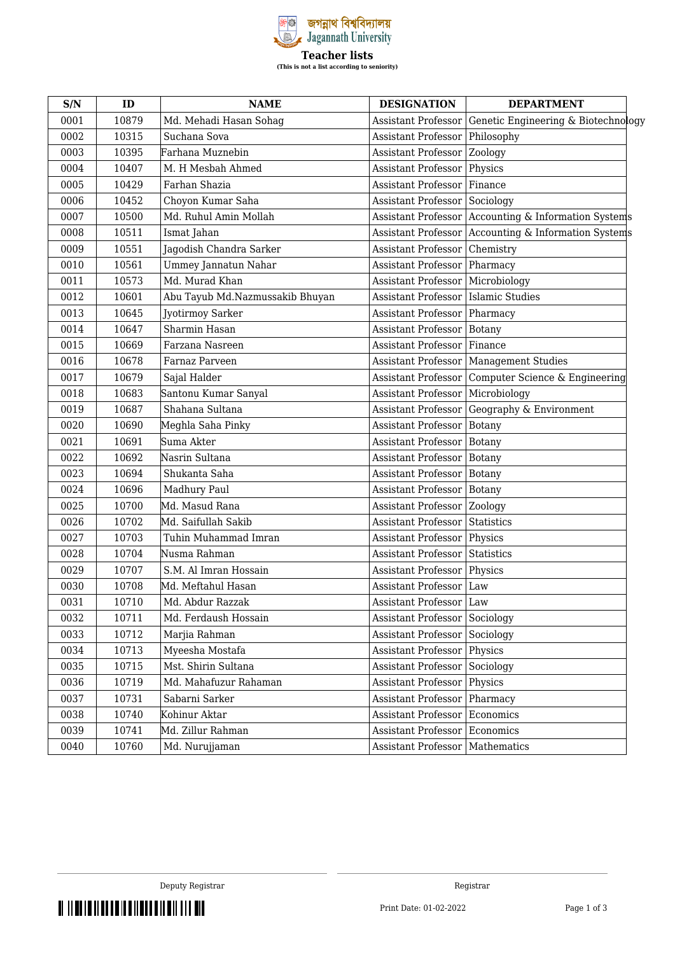

| S/N  | ID    | <b>NAME</b>                     | <b>DESIGNATION</b>            | <b>DEPARTMENT</b>                                      |
|------|-------|---------------------------------|-------------------------------|--------------------------------------------------------|
| 0001 | 10879 | Md. Mehadi Hasan Sohaq          | <b>Assistant Professor</b>    | Genetic Engineering & Biotechnology                    |
| 0002 | 10315 | Suchana Sova                    | <b>Assistant Professor</b>    | Philosophy                                             |
| 0003 | 10395 | Farhana Muznebin                | Assistant Professor   Zoology |                                                        |
| 0004 | 10407 | M. H Mesbah Ahmed               | <b>Assistant Professor</b>    | Physics                                                |
| 0005 | 10429 | Farhan Shazia                   | Assistant Professor Finance   |                                                        |
| 0006 | 10452 | Choyon Kumar Saha               | <b>Assistant Professor</b>    | Sociology                                              |
| 0007 | 10500 | Md. Ruhul Amin Mollah           | <b>Assistant Professor</b>    | Accounting & Information Systems                       |
| 0008 | 10511 | Ismat Jahan                     |                               | Assistant Professor   Accounting & Information Systems |
| 0009 | 10551 | Jagodish Chandra Sarker         | <b>Assistant Professor</b>    | Chemistry                                              |
| 0010 | 10561 | Ummey Jannatun Nahar            | <b>Assistant Professor</b>    | Pharmacy                                               |
| 0011 | 10573 | Md. Murad Khan                  | <b>Assistant Professor</b>    | Microbiology                                           |
| 0012 | 10601 | Abu Tayub Md.Nazmussakib Bhuyan | <b>Assistant Professor</b>    | <b>Islamic Studies</b>                                 |
| 0013 | 10645 | Jyotirmoy Sarker                | <b>Assistant Professor</b>    | Pharmacy                                               |
| 0014 | 10647 | Sharmin Hasan                   | <b>Assistant Professor</b>    | <b>Botany</b>                                          |
| 0015 | 10669 | Farzana Nasreen                 | <b>Assistant Professor</b>    | Finance                                                |
| 0016 | 10678 | Farnaz Parveen                  |                               | Assistant Professor   Management Studies               |
| 0017 | 10679 | Sajal Halder                    | <b>Assistant Professor</b>    | Computer Science & Engineering                         |
| 0018 | 10683 | Santonu Kumar Sanyal            | <b>Assistant Professor</b>    | Microbiology                                           |
| 0019 | 10687 | Shahana Sultana                 | <b>Assistant Professor</b>    | Geography & Environment                                |
| 0020 | 10690 | Meghla Saha Pinky               | <b>Assistant Professor</b>    | <b>Botany</b>                                          |
| 0021 | 10691 | Suma Akter                      | <b>Assistant Professor</b>    | Botany                                                 |
| 0022 | 10692 | Nasrin Sultana                  | Assistant Professor   Botany  |                                                        |
| 0023 | 10694 | Shukanta Saha                   | <b>Assistant Professor</b>    | Botany                                                 |
| 0024 | 10696 | Madhury Paul                    | <b>Assistant Professor</b>    | <b>Botany</b>                                          |
| 0025 | 10700 | Md. Masud Rana                  | Assistant Professor   Zoology |                                                        |
| 0026 | 10702 | Md. Saifullah Sakib             | <b>Assistant Professor</b>    | Statistics                                             |
| 0027 | 10703 | Tuhin Muhammad Imran            | Assistant Professor Physics   |                                                        |
| 0028 | 10704 | Nusma Rahman                    | <b>Assistant Professor</b>    | Statistics                                             |
| 0029 | 10707 | S.M. Al Imran Hossain           | <b>Assistant Professor</b>    | Physics                                                |
| 0030 | 10708 | Md. Meftahul Hasan              | Assistant Professor   Law     |                                                        |
| 0031 | 10710 | Md. Abdur Razzak                | Assistant Professor   Law     |                                                        |
| 0032 | 10711 | Md. Ferdaush Hossain            | <b>Assistant Professor</b>    | Sociology                                              |
| 0033 | 10712 | Marjia Rahman                   | <b>Assistant Professor</b>    | Sociology                                              |
| 0034 | 10713 | Myeesha Mostafa                 | <b>Assistant Professor</b>    | Physics                                                |
| 0035 | 10715 | Mst. Shirin Sultana             | <b>Assistant Professor</b>    | Sociology                                              |
| 0036 | 10719 | Md. Mahafuzur Rahaman           | <b>Assistant Professor</b>    | Physics                                                |
| 0037 | 10731 | Sabarni Sarker                  | <b>Assistant Professor</b>    | Pharmacy                                               |
| 0038 | 10740 | Kohinur Aktar                   | Assistant Professor           | Economics                                              |
| 0039 | 10741 | Md. Zillur Rahman               | <b>Assistant Professor</b>    | Economics                                              |
| 0040 | 10760 | Md. Nurujjaman                  | <b>Assistant Professor</b>    | Mathematics                                            |

THE THE REPORT OF THE REPORT OF THE REPORT OF THE REPORT OF THE REPORT OF THE REPORT OF THE REPORT OF THE REPORT OF THE REPORT OF THE REPORT OF THE REPORT OF THE REPORT OF THE REPORT OF THE REPORT OF THE REPORT OF THE REPO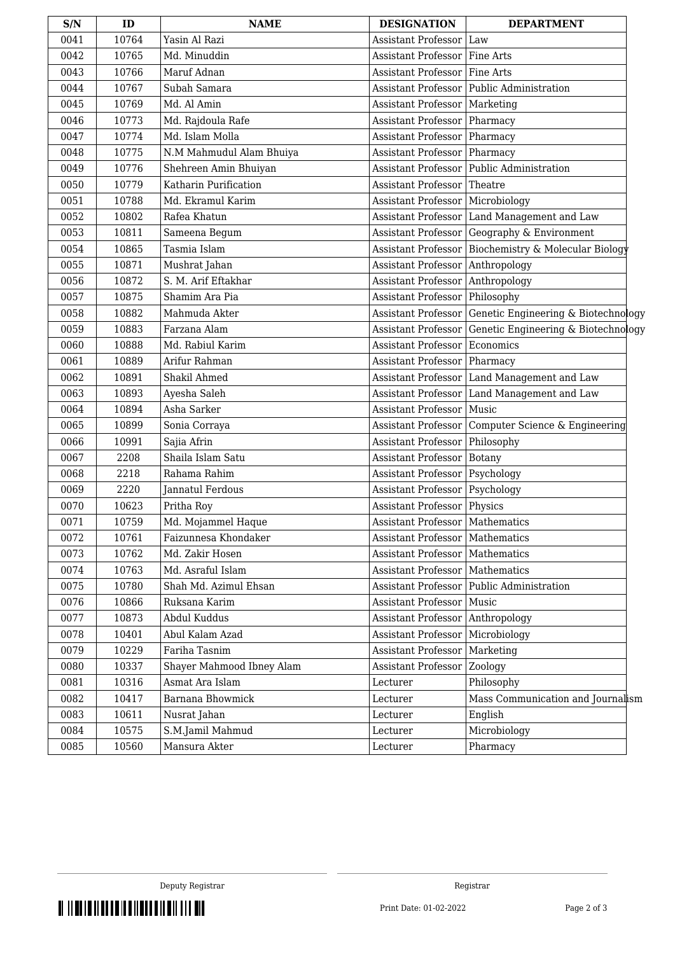| S/N  | ID    | <b>NAME</b>               | <b>DESIGNATION</b>                 | <b>DEPARTMENT</b>                             |
|------|-------|---------------------------|------------------------------------|-----------------------------------------------|
| 0041 | 10764 | Yasin Al Razi             | Assistant Professor                | Law                                           |
| 0042 | 10765 | Md. Minuddin              | <b>Assistant Professor</b>         | Fine Arts                                     |
| 0043 | 10766 | Maruf Adnan               | <b>Assistant Professor</b>         | Fine Arts                                     |
| 0044 | 10767 | Subah Samara              |                                    | Assistant Professor   Public Administration   |
| 0045 | 10769 | Md. Al Amin               | Assistant Professor                | Marketing                                     |
| 0046 | 10773 | Md. Rajdoula Rafe         | Assistant Professor                | Pharmacy                                      |
| 0047 | 10774 | Md. Islam Molla           | <b>Assistant Professor</b>         | Pharmacy                                      |
| 0048 | 10775 | N.M Mahmudul Alam Bhuiya  | <b>Assistant Professor</b>         | Pharmacy                                      |
| 0049 | 10776 | Shehreen Amin Bhuiyan     |                                    | Assistant Professor   Public Administration   |
| 0050 | 10779 | Katharin Purification     | Assistant Professor                | Theatre                                       |
| 0051 | 10788 | Md. Ekramul Karim         | <b>Assistant Professor</b>         | Microbiology                                  |
| 0052 | 10802 | Rafea Khatun              |                                    | Assistant Professor   Land Management and Law |
| 0053 | 10811 | Sameena Begum             | <b>Assistant Professor</b>         | Geography & Environment                       |
| 0054 | 10865 | Tasmia Islam              | <b>Assistant Professor</b>         | Biochemistry & Molecular Biology              |
| 0055 | 10871 | Mushrat Jahan             | Assistant Professor Anthropology   |                                               |
| 0056 | 10872 | S. M. Arif Eftakhar       | Assistant Professor                | Anthropology                                  |
| 0057 | 10875 | Shamim Ara Pia            | <b>Assistant Professor</b>         | Philosophy                                    |
| 0058 | 10882 | Mahmuda Akter             | <b>Assistant Professor</b>         | Genetic Engineering & Biotechnology           |
| 0059 | 10883 | Farzana Alam              | <b>Assistant Professor</b>         | Genetic Engineering & Biotechnology           |
| 0060 | 10888 | Md. Rabiul Karim          | Assistant Professor                | Economics                                     |
| 0061 | 10889 | Arifur Rahman             | Assistant Professor                | Pharmacy                                      |
| 0062 | 10891 | Shakil Ahmed              | Assistant Professor                | Land Management and Law                       |
| 0063 | 10893 | Ayesha Saleh              | Assistant Professor                | Land Management and Law                       |
| 0064 | 10894 | Asha Sarker               | <b>Assistant Professor</b>         | Music                                         |
| 0065 | 10899 | Sonia Corraya             | <b>Assistant Professor</b>         | Computer Science & Engineering                |
| 0066 | 10991 | Sajia Afrin               | Assistant Professor   Philosophy   |                                               |
| 0067 | 2208  | Shaila Islam Satu         | <b>Assistant Professor</b>         | Botany                                        |
| 0068 | 2218  | Rahama Rahim              | Assistant Professor                | Psychology                                    |
| 0069 | 2220  | Jannatul Ferdous          | Assistant Professor   Psychology   |                                               |
| 0070 | 10623 | Pritha Roy                | Assistant Professor   Physics      |                                               |
| 0071 | 10759 | Md. Mojammel Haque        | Assistant Professor   Mathematics  |                                               |
| 0072 | 10761 | Faizunnesa Khondaker      | Assistant Professor   Mathematics  |                                               |
| 0073 | 10762 | Md. Zakir Hosen           | Assistant Professor   Mathematics  |                                               |
| 0074 | 10763 | Md. Asraful Islam         | Assistant Professor   Mathematics  |                                               |
| 0075 | 10780 | Shah Md. Azimul Ehsan     |                                    | Assistant Professor   Public Administration   |
| 0076 | 10866 | Ruksana Karim             | Assistant Professor   Music        |                                               |
| 0077 | 10873 | Abdul Kuddus              | Assistant Professor   Anthropology |                                               |
| 0078 | 10401 | Abul Kalam Azad           | Assistant Professor                | Microbiology                                  |
| 0079 | 10229 | Fariha Tasnim             | Assistant Professor                | Marketing                                     |
| 0080 | 10337 | Shayer Mahmood Ibney Alam | Assistant Professor                | Zoology                                       |
| 0081 | 10316 | Asmat Ara Islam           | Lecturer                           | Philosophy                                    |
| 0082 | 10417 | Barnana Bhowmick          | Lecturer                           | Mass Communication and Journalism             |
| 0083 | 10611 | Nusrat Jahan              | Lecturer                           | English                                       |
| 0084 | 10575 | S.M.Jamil Mahmud          | Lecturer                           | Microbiology                                  |
| 0085 | 10560 | Mansura Akter             | Lecturer                           | Pharmacy                                      |

THE THE REPORT OF THE REPORT OF THE THE RESERVE AND THE RESERVE AND THE RESERVE AND RESERVE AND RESERVE AND RE